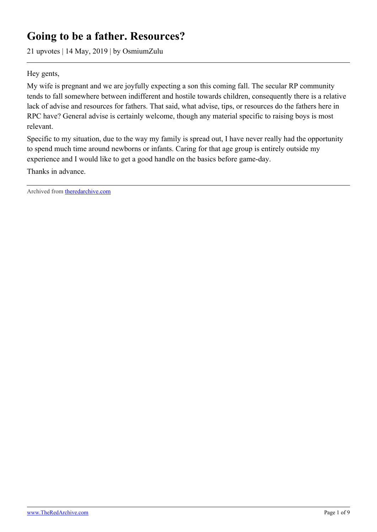# **Going to be a father. Resources?**

21 upvotes | 14 May, 2019 | by OsmiumZulu

Hey gents,

My wife is pregnant and we are joyfully expecting a son this coming fall. The secular RP community tends to fall somewhere between indifferent and hostile towards children, consequently there is a relative lack of advise and resources for fathers. That said, what advise, tips, or resources do the fathers here in RPC have? General advise is certainly welcome, though any material specific to raising boys is most relevant.

Specific to my situation, due to the way my family is spread out, I have never really had the opportunity to spend much time around newborns or infants. Caring for that age group is entirely outside my experience and I would like to get a good handle on the basics before game-day.

Thanks in advance.

Archived from [theredarchive.com](https://theredarchive.com/r/RPChristians/going-to-be-a-father-resources.301291)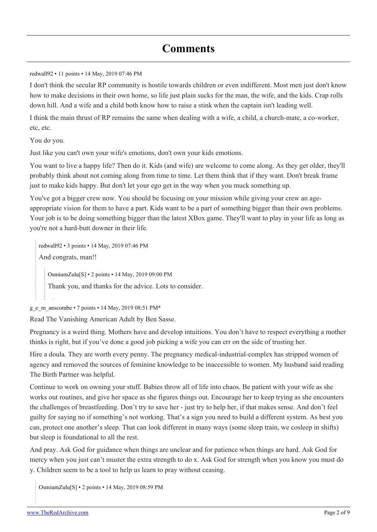## **Comments**

[redwall92](https://old.reddit.com/user/redwall92) • 11 points • 14 May, 2019 07:46 PM

I don't think the secular RP community is hostile towards children or even indifferent. Most men just don't know how to make decisions in their own home, so life just plain sucks for the man, the wife, and the kids. Crap rolls down hill. And a wife and a child both know how to raise a stink when the captain isn't leading well.

I think the main thrust of RP remains the same when dealing with a wife, a child, a church-mate, a co-worker, etc, etc.

You do you.

Just like you can't own your wife's emotions, don't own your kids emotions.

You want to live a happy life? Then do it. Kids (and wife) are welcome to come along. As they get older, they'll probably think about not coming along from time to time. Let them think that if they want. Don't break frame just to make kids happy. But don't let your ego get in the way when you muck something up.

You've got a bigger crew now. You should be focusing on your mission while giving your crew an ageappropriate vision for them to have a part. Kids want to be a part of something bigger than their own problems. Your job is to be doing something bigger than the latest XBox game. They'll want to play in your life as long as you're not a hard-butt downer in their life.

[redwall92](https://old.reddit.com/user/redwall92) • 3 points • 14 May, 2019 07:46 PM And congrats, man!! [OsmiumZulu\[](https://old.reddit.com/user/OsmiumZulu)[S](https://theredarchive.com/r/RPChristians/comments/bon39o/going_to_be_a_father_resources/)] • 2 points • 14 May, 2019 09:00 PM

Thank you, and thanks for the advice. Lots to consider.

[g\\_e\\_m\\_anscombe](https://old.reddit.com/user/g_e_m_anscombe) • 7 points • 14 May, 2019 08:51 PM\*

Read The Vanishing American Adult by Ben Sasse.

Pregnancy is a weird thing. Mothers have and develop intuitions. You don't have to respect everything a mother thinks is right, but if you've done a good job picking a wife you can err on the side of trusting her.

Hire a doula. They are worth every penny. The pregnancy medical-industrial-complex has stripped women of agency and removed the sources of feminine knowledge to be inaccessible to women. My husband said reading The Birth Partner was helpful.

Continue to work on owning your stuff. Babies throw all of life into chaos. Be patient with your wife as she works out routines, and give her space as she figures things out. Encourage her to keep trying as she encounters the challenges of breastfeeding. Don't try to save her - just try to help her, if that makes sense. And don't feel guilty for saying no if something's not working. That's a sign you need to build a different system. As best you can, protect one another's sleep. That can look different in many ways (some sleep train, we cosleep in shifts) but sleep is foundational to all the rest.

And pray. Ask God for guidance when things are unclear and for patience when things are hard. Ask God for mercy when you just can't muster the extra strength to do x. Ask God for strength when you know you must do y. Children seem to be a tool to help us learn to pray without ceasing.

[OsmiumZulu\[](https://old.reddit.com/user/OsmiumZulu)[S\]](https://theredarchive.com/r/RPChristians/comments/bon39o/going_to_be_a_father_resources/) • 2 points • 14 May, 2019 08:59 PM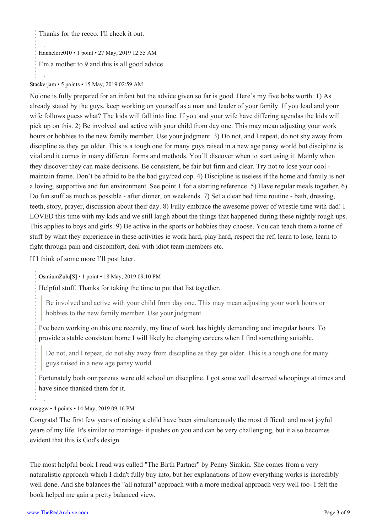Thanks for the recco. I'll check it out.

[Hannelore010](https://old.reddit.com/user/Hannelore010) • 1 point • 27 May, 2019 12:55 AM

I'm a mother to 9 and this is all good advice

### [Stackerjam](https://old.reddit.com/user/Stackerjam) • 5 points • 15 May, 2019 02:59 AM

No one is fully prepared for an infant but the advice given so far is good. Here's my five bobs worth: 1) As already stated by the guys, keep working on yourself as a man and leader of your family. If you lead and your wife follows guess what? The kids will fall into line. If you and your wife have differing agendas the kids will pick up on this. 2) Be involved and active with your child from day one. This may mean adjusting your work hours or hobbies to the new family member. Use your judgment. 3) Do not, and I repeat, do not shy away from discipline as they get older. This is a tough one for many guys raised in a new age pansy world but discipline is vital and it comes in many different forms and methods. You'll discover when to start using it. Mainly when they discover they can make decisions. Be consistent, be fair but firm and clear. Try not to lose your cool maintain frame. Don't be afraid to be the bad guy/bad cop. 4) Discipline is useless if the home and family is not a loving, supportive and fun environment. See point 1 for a starting reference. 5) Have regular meals together. 6) Do fun stuff as much as possible - after dinner, on weekends. 7) Set a clear bed time routine - bath, dressing, teeth, story, prayer, discussion about their day. 8) Fully embrace the awesome power of wrestle time with dad! I LOVED this time with my kids and we still laugh about the things that happened during these nightly rough ups. This applies to boys and girls. 9) Be active in the sports or hobbies they choose. You can teach them a tonne of stuff by what they experience in these activities ie work hard, play hard, respect the ref, learn to lose, learn to fight through pain and discomfort, deal with idiot team members etc.

If I think of some more I'll post later.

[OsmiumZulu\[](https://old.reddit.com/user/OsmiumZulu)[S\]](https://theredarchive.com/r/RPChristians/comments/bon39o/going_to_be_a_father_resources/) • 1 point • 18 May, 2019 09:10 PM

Helpful stuff. Thanks for taking the time to put that list together.

Be involved and active with your child from day one. This may mean adjusting your work hours or hobbies to the new family member. Use your judgment.

I've been working on this one recently, my line of work has highly demanding and irregular hours. To provide a stable consistent home I will likely be changing careers when I find something suitable.

Do not, and I repeat, do not shy away from discipline as they get older. This is a tough one for many guys raised in a new age pansy world

Fortunately both our parents were old school on discipline. I got some well deserved whoopings at times and have since thanked them for it.

[mwggw](https://old.reddit.com/user/mwggw) • 4 points • 14 May, 2019 09:16 PM

Congrats! The first few years of raising a child have been simultaneously the most difficult and most joyful years of my life. It's similar to marriage- it pushes on you and can be very challenging, but it also becomes evident that this is God's design.

The most helpful book I read was called "The Birth Partner" by Penny Simkin. She comes from a very naturalistic approach which I didn't fully buy into, but her explanations of how everything works is incredibly well done. And she balances the "all natural" approach with a more medical approach very well too- I felt the book helped me gain a pretty balanced view.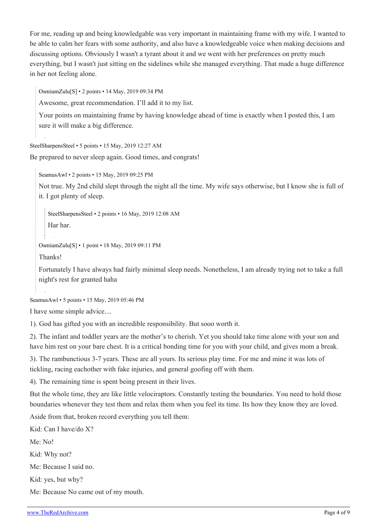For me, reading up and being knowledgable was very important in maintaining frame with my wife. I wanted to be able to calm her fears with some authority, and also have a knowledgeable voice when making decisions and discussing options. Obviously I wasn't a tyrant about it and we went with her preferences on pretty much everything, but I wasn't just sitting on the sidelines while she managed everything. That made a huge difference in her not feeling alone.

[OsmiumZulu\[](https://old.reddit.com/user/OsmiumZulu)[S\]](https://theredarchive.com/r/RPChristians/comments/bon39o/going_to_be_a_father_resources/) • 2 points • 14 May, 2019 09:34 PM

Awesome, great recommendation. I'll add it to my list.

Your points on maintaining frame by having knowledge ahead of time is exactly when I posted this, I am sure it will make a big difference.

[SteelSharpensSteel](https://old.reddit.com/user/SteelSharpensSteel) • 5 points • 15 May, 2019 12:27 AM

Be prepared to never sleep again. Good times, and congrats!

[SeamusAwl](https://old.reddit.com/user/SeamusAwl) • 2 points • 15 May, 2019 09:25 PM

Not true. My 2nd child slept through the night all the time. My wife says otherwise, but I know she is full of it. I got plenty of sleep.

[SteelSharpensSteel](https://old.reddit.com/user/SteelSharpensSteel) • 2 points • 16 May, 2019 12:08 AM

Har har.

[OsmiumZulu\[](https://old.reddit.com/user/OsmiumZulu)[S\]](https://theredarchive.com/r/RPChristians/comments/bon39o/going_to_be_a_father_resources/) • 1 point • 18 May, 2019 09:11 PM

Thanks!

Fortunately I have always had fairly minimal sleep needs. Nonetheless, I am already trying not to take a full night's rest for granted haha

[SeamusAwl](https://old.reddit.com/user/SeamusAwl) • 5 points • 15 May, 2019 05:46 PM

I have some simple advice....

1). God has gifted you with an incredible responsibility. But sooo worth it.

2). The infant and toddler years are the mother's to cherish. Yet you should take time alone with your son and have him rest on your bare chest. It is a critical bonding time for you with your child, and gives mom a break.

3). The rambunctious 3-7 years. These are all yours. Its serious play time. For me and mine it was lots of tickling, racing eachother with fake injuries, and general goofing off with them.

4). The remaining time is spent being present in their lives.

But the whole time, they are like little velociraptors. Constantly testing the boundaries. You need to hold those boundaries whenever they test them and relax them when you feel its time. Its how they know they are loved.

Aside from that, broken record everything you tell them:

Kid: Can I have/do X?

Me: No!

Kid: Why not?

Me: Because I said no.

Kid: yes, but why?

Me: Because No came out of my mouth.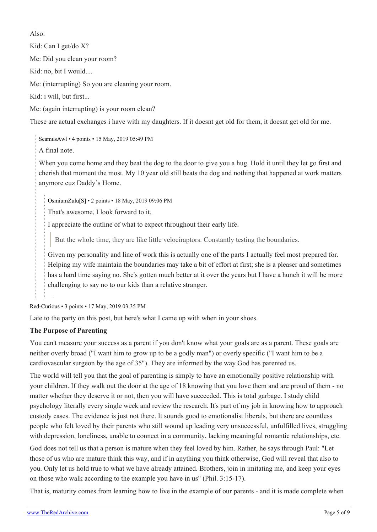Also:

Kid: Can I get/do X? Me: Did you clean your room? Kid: no, bit I would.... Me: (interrupting) So you are cleaning your room.

Kid: i will, but first...

Me: (again interrupting) is your room clean?

These are actual exchanges i have with my daughters. If it doesnt get old for them, it doesnt get old for me.

[SeamusAwl](https://old.reddit.com/user/SeamusAwl) • 4 points • 15 May, 2019 05:49 PM

A final note.

When you come home and they beat the dog to the door to give you a hug. Hold it until they let go first and cherish that moment the most. My 10 year old still beats the dog and nothing that happened at work matters anymore cuz Daddy's Home.

[OsmiumZulu\[](https://old.reddit.com/user/OsmiumZulu)[S](https://theredarchive.com/r/RPChristians/comments/bon39o/going_to_be_a_father_resources/)] • 2 points • 18 May, 2019 09:06 PM

That's awesome, I look forward to it.

I appreciate the outline of what to expect throughout their early life.

But the whole time, they are like little velociraptors. Constantly testing the boundaries.

Given my personality and line of work this is actually one of the parts I actually feel most prepared for. Helping my wife maintain the boundaries may take a bit of effort at first; she is a pleaser and sometimes has a hard time saying no. She's gotten much better at it over the years but I have a hunch it will be more challenging to say no to our kids than a relative stranger.

[Red-Curious](https://old.reddit.com/user/Red-Curious) • 3 points • 17 May, 2019 03:35 PM

Late to the party on this post, but here's what I came up with when in your shoes.

#### **The Purpose of Parenting**

You can't measure your success as a parent if you don't know what your goals are as a parent. These goals are neither overly broad ("I want him to grow up to be a godly man") or overly specific ("I want him to be a cardiovascular surgeon by the age of 35"). They are informed by the way God has parented us.

The world will tell you that the goal of parenting is simply to have an emotionally positive relationship with your children. If they walk out the door at the age of 18 knowing that you love them and are proud of them - no matter whether they deserve it or not, then you will have succeeded. This is total garbage. I study child psychology literally every single week and review the research. It's part of my job in knowing how to approach custody cases. The evidence is just not there. It sounds good to emotionalist liberals, but there are countless people who felt loved by their parents who still wound up leading very unsuccessful, unfulfilled lives, struggling with depression, loneliness, unable to connect in a community, lacking meaningful romantic relationships, etc.

God does not tell us that a person is mature when they feel loved by him. Rather, he says through Paul: "Let those of us who are mature think this way, and if in anything you think otherwise, God will reveal that also to you. Only let us hold true to what we have already attained. Brothers, join in imitating me, and keep your eyes on those who walk according to the example you have in us" (Phil. 3:15-17).

That is, maturity comes from learning how to live in the example of our parents - and it is made complete when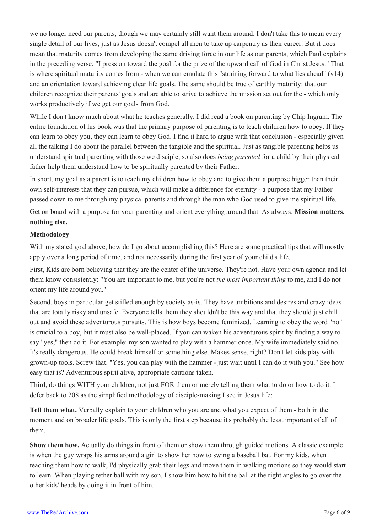we no longer need our parents, though we may certainly still want them around. I don't take this to mean every single detail of our lives, just as Jesus doesn't compel all men to take up carpentry as their career. But it does mean that maturity comes from developing the same driving force in our life as our parents, which Paul explains in the preceding verse: "I press on toward the goal for the prize of the upward call of God in Christ Jesus." That is where spiritual maturity comes from - when we can emulate this "straining forward to what lies ahead"  $(v14)$ and an orientation toward achieving clear life goals. The same should be true of earthly maturity: that our children recognize their parents' goals and are able to strive to achieve the mission set out for the - which only works productively if we get our goals from God.

While I don't know much about what he teaches generally, I did read a book on parenting by Chip Ingram. The entire foundation of his book was that the primary purpose of parenting is to teach children how to obey. If they can learn to obey you, they can learn to obey God. I find it hard to argue with that conclusion - especially given all the talking I do about the parallel between the tangible and the spiritual. Just as tangible parenting helps us understand spiritual parenting with those we disciple, so also does *being parented* for a child by their physical father help them understand how to be spiritually parented by their Father.

In short, my goal as a parent is to teach my children how to obey and to give them a purpose bigger than their own self-interests that they can pursue, which will make a difference for eternity - a purpose that my Father passed down to me through my physical parents and through the man who God used to give me spiritual life.

Get on board with a purpose for your parenting and orient everything around that. As always: **Mission matters, nothing else.**

#### **Methodology**

With my stated goal above, how do I go about accomplishing this? Here are some practical tips that will mostly apply over a long period of time, and not necessarily during the first year of your child's life.

First, Kids are born believing that they are the center of the universe. They're not. Have your own agenda and let them know consistently: "You are important to me, but you're not *the most important thing* to me, and I do not orient my life around you."

Second, boys in particular get stifled enough by society as-is. They have ambitions and desires and crazy ideas that are totally risky and unsafe. Everyone tells them they shouldn't be this way and that they should just chill out and avoid these adventurous pursuits. This is how boys become feminized. Learning to obey the word "no" is crucial to a boy, but it must also be well-placed. If you can waken his adventurous spirit by finding a way to say "yes," then do it. For example: my son wanted to play with a hammer once. My wife immediately said no. It's really dangerous. He could break himself or something else. Makes sense, right? Don't let kids play with grown-up tools. Screw that. "Yes, you can play with the hammer - just wait until I can do it with you." See how easy that is? Adventurous spirit alive, appropriate cautions taken.

Third, do things WITH your children, not just FOR them or merely telling them what to do or how to do it. I defer back to 208 as the simplified methodology of disciple-making I see in Jesus life:

**Tell them what.** Verbally explain to your children who you are and what you expect of them - both in the moment and on broader life goals. This is only the first step because it's probably the least important of all of them.

**Show them how.** Actually do things in front of them or show them through guided motions. A classic example is when the guy wraps his arms around a girl to show her how to swing a baseball bat. For my kids, when teaching them how to walk, I'd physically grab their legs and move them in walking motions so they would start to learn. When playing tether ball with my son, I show him how to hit the ball at the right angles to go over the other kids' heads by doing it in front of him.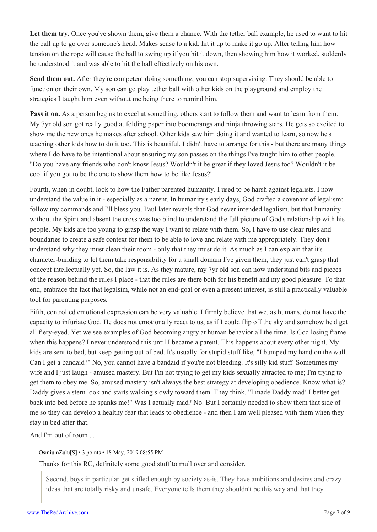Let them try. Once you've shown them, give them a chance. With the tether ball example, he used to want to hit the ball up to go over someone's head. Makes sense to a kid: hit it up to make it go up. After telling him how tension on the rope will cause the ball to swing up if you hit it down, then showing him how it worked, suddenly he understood it and was able to hit the ball effectively on his own.

**Send them out.** After they're competent doing something, you can stop supervising. They should be able to function on their own. My son can go play tether ball with other kids on the playground and employ the strategies I taught him even without me being there to remind him.

**Pass it on.** As a person begins to excel at something, others start to follow them and want to learn from them. My 7yr old son got really good at folding paper into boomerangs and ninja throwing stars. He gets so excited to show me the new ones he makes after school. Other kids saw him doing it and wanted to learn, so now he's teaching other kids how to do it too. This is beautiful. I didn't have to arrange for this - but there are many things where I do have to be intentional about ensuring my son passes on the things I've taught him to other people. "Do you have any friends who don't know Jesus? Wouldn't it be great if they loved Jesus too? Wouldn't it be cool if you got to be the one to show them how to be like Jesus?"

Fourth, when in doubt, look to how the Father parented humanity. I used to be harsh against legalists. I now understand the value in it - especially as a parent. In humanity's early days, God crafted a covenant of legalism: follow my commands and I'll bless you. Paul later reveals that God never intended legalism, but that humanity without the Spirit and absent the cross was too blind to understand the full picture of God's relationship with his people. My kids are too young to grasp the way I want to relate with them. So, I have to use clear rules and boundaries to create a safe context for them to be able to love and relate with me appropriately. They don't understand why they must clean their room - only that they must do it. As much as I can explain that it's character-building to let them take responsibility for a small domain I've given them, they just can't grasp that concept intellectually yet. So, the law it is. As they mature, my 7yr old son can now understand bits and pieces of the reason behind the rules I place - that the rules are there both for his benefit and my good pleasure. To that end, embrace the fact that legalsim, while not an end-goal or even a present interest, is still a practically valuable tool for parenting purposes.

Fifth, controlled emotional expression can be very valuable. I firmly believe that we, as humans, do not have the capacity to infuriate God. He does not emotionally react to us, as if I could flip off the sky and somehow he'd get all fiery-eyed. Yet we see examples of God becoming angry at human behavior all the time. Is God losing frame when this happens? I never understood this until I became a parent. This happens about every other night. My kids are sent to bed, but keep getting out of bed. It's usually for stupid stuff like, "I bumped my hand on the wall. Can I get a bandaid?" No, you cannot have a bandaid if you're not bleeding. It's silly kid stuff. Sometimes my wife and I just laugh - amused mastery. But I'm not trying to get my kids sexually attracted to me; I'm trying to get them to obey me. So, amused mastery isn't always the best strategy at developing obedience. Know what is? Daddy gives a stern look and starts walking slowly toward them. They think, "I made Daddy mad! I better get back into bed before he spanks me!" Was I actually mad? No. But I certainly needed to show them that side of me so they can develop a healthy fear that leads to obedience - and then I am well pleased with them when they stay in bed after that.

And I'm out of room ...

[OsmiumZulu\[](https://old.reddit.com/user/OsmiumZulu)[S\]](https://theredarchive.com/r/RPChristians/comments/bon39o/going_to_be_a_father_resources/) • 3 points • 18 May, 2019 08:55 PM

Thanks for this RC, definitely some good stuff to mull over and consider.

Second, boys in particular get stifled enough by society as-is. They have ambitions and desires and crazy ideas that are totally risky and unsafe. Everyone tells them they shouldn't be this way and that they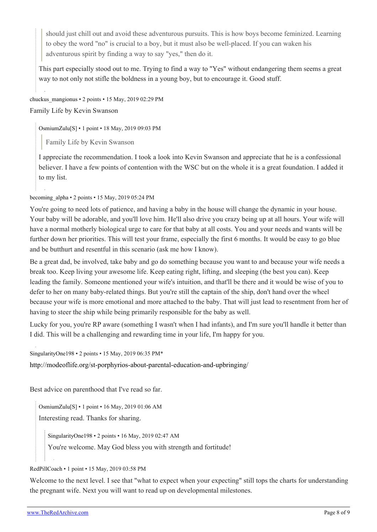should just chill out and avoid these adventurous pursuits. This is how boys become feminized. Learning to obey the word "no" is crucial to a boy, but it must also be well-placed. If you can waken his adventurous spirit by finding a way to say "yes," then do it.

This part especially stood out to me. Trying to find a way to "Yes" without endangering them seems a great way to not only not stifle the boldness in a young boy, but to encourage it. Good stuff.

[chuckus\\_mangionus](https://old.reddit.com/user/chuckus_mangionus) • 2 points • 15 May, 2019 02:29 PM Family Life by Kevin Swanson

[OsmiumZulu\[](https://old.reddit.com/user/OsmiumZulu)[S\]](https://theredarchive.com/r/RPChristians/comments/bon39o/going_to_be_a_father_resources/) • 1 point • 18 May, 2019 09:03 PM

Family Life by Kevin Swanson

I appreciate the recommendation. I took a look into Kevin Swanson and appreciate that he is a confessional believer. I have a few points of contention with the WSC but on the whole it is a great foundation. I added it to my list.

[becoming\\_alpha](https://old.reddit.com/user/becoming_alpha) • 2 points • 15 May, 2019 05:24 PM

You're going to need lots of patience, and having a baby in the house will change the dynamic in your house. Your baby will be adorable, and you'll love him. He'll also drive you crazy being up at all hours. Your wife will have a normal motherly biological urge to care for that baby at all costs. You and your needs and wants will be further down her priorities. This will test your frame, especially the first 6 months. It would be easy to go blue and be butthurt and resentful in this scenario (ask me how I know).

Be a great dad, be involved, take baby and go do something because you want to and because your wife needs a break too. Keep living your awesome life. Keep eating right, lifting, and sleeping (the best you can). Keep leading the family. Someone mentioned your wife's intuition, and that'll be there and it would be wise of you to defer to her on many baby-related things. But you're still the captain of the ship, don't hand over the wheel because your wife is more emotional and more attached to the baby. That will just lead to resentment from her of having to steer the ship while being primarily responsible for the baby as well.

Lucky for you, you're RP aware (something I wasn't when I had infants), and I'm sure you'll handle it better than I did. This will be a challenging and rewarding time in your life, I'm happy for you.

[SingularityOne198](https://old.reddit.com/user/SingularityOne198) • 2 points • 15 May, 2019 06:35 PM\*

<http://modeoflife.org/st-porphyrios-about-parental-education-and-upbringing/>

Best advice on parenthood that I've read so far.

[OsmiumZulu\[](https://old.reddit.com/user/OsmiumZulu)[S\]](https://theredarchive.com/r/RPChristians/comments/bon39o/going_to_be_a_father_resources/) • 1 point • 16 May, 2019 01:06 AM

Interesting read. Thanks for sharing.

[SingularityOne198](https://old.reddit.com/user/SingularityOne198) • 2 points • 16 May, 2019 02:47 AM

You're welcome. May God bless you with strength and fortitude!

#### [RedPillCoach](https://old.reddit.com/user/RedPillCoach) • 1 point • 15 May, 2019 03:58 PM

Welcome to the next level. I see that "what to expect when your expecting" still tops the charts for understanding the pregnant wife. Next you will want to read up on developmental milestones.